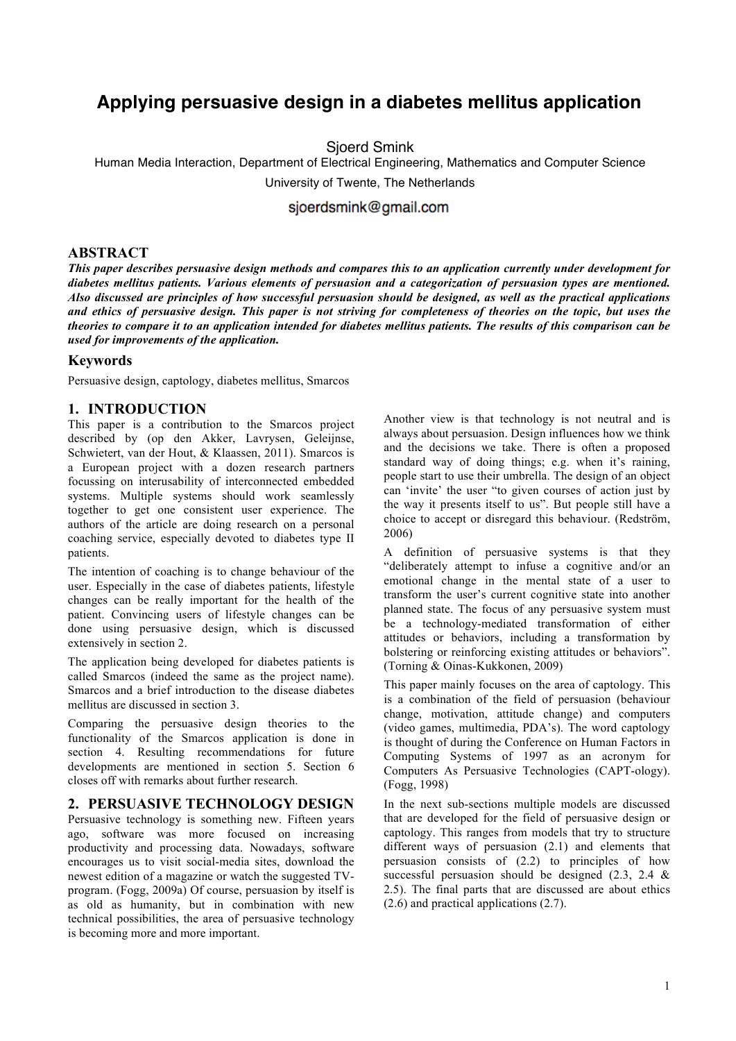# **Applying persuasive design in a diabetes mellitus application**

Sjoerd Smink

Human Media Interaction, Department of Electrical Engineering, Mathematics and Computer Science

University of Twente, The Netherlands

sjoerdsmink@gmail.com

#### **ABSTRACT**

*This paper describes persuasive design methods and compares this to an application currently under development for diabetes mellitus patients. Various elements of persuasion and a categorization of persuasion types are mentioned. Also discussed are principles of how successful persuasion should be designed, as well as the practical applications and ethics of persuasive design. This paper is not striving for completeness of theories on the topic, but uses the theories to compare it to an application intended for diabetes mellitus patients. The results of this comparison can be used for improvements of the application.*

## **Keywords**

Persuasive design, captology, diabetes mellitus, Smarcos

## **1. INTRODUCTION**

This paper is a contribution to the Smarcos project described by (op den Akker, Lavrysen, Geleijnse, Schwietert, van der Hout, & Klaassen, 2011). Smarcos is a European project with a dozen research partners focussing on interusability of interconnected embedded systems. Multiple systems should work seamlessly together to get one consistent user experience. The authors of the article are doing research on a personal coaching service, especially devoted to diabetes type II patients.

The intention of coaching is to change behaviour of the user. Especially in the case of diabetes patients, lifestyle changes can be really important for the health of the patient. Convincing users of lifestyle changes can be done using persuasive design, which is discussed extensively in section 2.

The application being developed for diabetes patients is called Smarcos (indeed the same as the project name). Smarcos and a brief introduction to the disease diabetes mellitus are discussed in section 3.

Comparing the persuasive design theories to the functionality of the Smarcos application is done in section 4. Resulting recommendations for future developments are mentioned in section 5. Section 6 closes off with remarks about further research.

## **2. PERSUASIVE TECHNOLOGY DESIGN**

Persuasive technology is something new. Fifteen years ago, software was more focused on increasing productivity and processing data. Nowadays, software encourages us to visit social-media sites, download the newest edition of a magazine or watch the suggested TVprogram. (Fogg, 2009a) Of course, persuasion by itself is as old as humanity, but in combination with new technical possibilities, the area of persuasive technology is becoming more and more important.

Another view is that technology is not neutral and is always about persuasion. Design influences how we think and the decisions we take. There is often a proposed standard way of doing things; e.g. when it's raining, people start to use their umbrella. The design of an object can 'invite' the user "to given courses of action just by the way it presents itself to us". But people still have a choice to accept or disregard this behaviour. (Redström, 2006)

A definition of persuasive systems is that they "deliberately attempt to infuse a cognitive and/or an emotional change in the mental state of a user to transform the user's current cognitive state into another planned state. The focus of any persuasive system must be a technology-mediated transformation of either attitudes or behaviors, including a transformation by bolstering or reinforcing existing attitudes or behaviors". (Torning & Oinas-Kukkonen, 2009)

This paper mainly focuses on the area of captology. This is a combination of the field of persuasion (behaviour change, motivation, attitude change) and computers (video games, multimedia, PDA's). The word captology is thought of during the Conference on Human Factors in Computing Systems of 1997 as an acronym for Computers As Persuasive Technologies (CAPT-ology). (Fogg, 1998)

In the next sub-sections multiple models are discussed that are developed for the field of persuasive design or captology. This ranges from models that try to structure different ways of persuasion (2.1) and elements that persuasion consists of (2.2) to principles of how successful persuasion should be designed (2.3, 2.4 & 2.5). The final parts that are discussed are about ethics (2.6) and practical applications (2.7).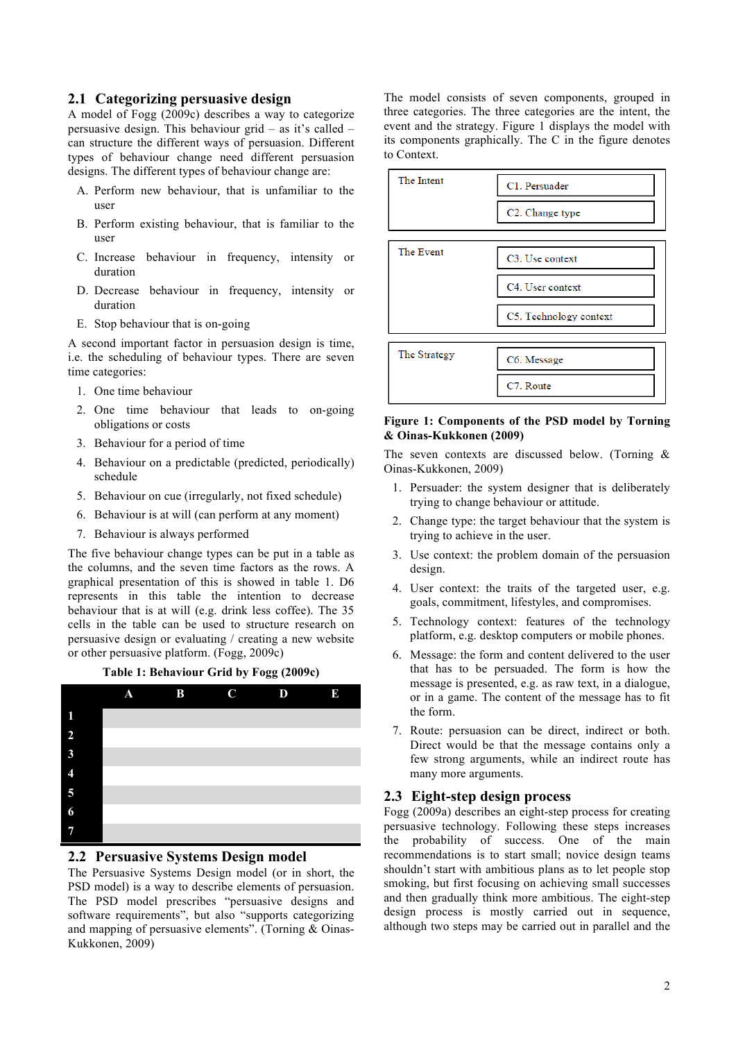#### **2.1 Categorizing persuasive design**

A model of Fogg (2009c) describes a way to categorize persuasive design. This behaviour grid – as it's called – can structure the different ways of persuasion. Different types of behaviour change need different persuasion designs. The different types of behaviour change are:

- A. Perform new behaviour, that is unfamiliar to the user
- B. Perform existing behaviour, that is familiar to the user
- C. Increase behaviour in frequency, intensity or duration
- D. Decrease behaviour in frequency, intensity or duration
- E. Stop behaviour that is on-going

A second important factor in persuasion design is time, i.e. the scheduling of behaviour types. There are seven time categories:

- 1. One time behaviour
- 2. One time behaviour that leads to on-going obligations or costs
- 3. Behaviour for a period of time
- 4. Behaviour on a predictable (predicted, periodically) schedule
- 5. Behaviour on cue (irregularly, not fixed schedule)
- 6. Behaviour is at will (can perform at any moment)
- 7. Behaviour is always performed

The five behaviour change types can be put in a table as the columns, and the seven time factors as the rows. A graphical presentation of this is showed in table 1. D6 represents in this table the intention to decrease behaviour that is at will (e.g. drink less coffee). The 35 cells in the table can be used to structure research on persuasive design or evaluating / creating a new website or other persuasive platform. (Fogg, 2009c)

**Table 1: Behaviour Grid by Fogg (2009c)**



## **2.2 Persuasive Systems Design model**

The Persuasive Systems Design model (or in short, the PSD model) is a way to describe elements of persuasion. The PSD model prescribes "persuasive designs and software requirements", but also "supports categorizing and mapping of persuasive elements". (Torning & Oinas-Kukkonen, 2009)

The model consists of seven components, grouped in three categories. The three categories are the intent, the event and the strategy. Figure 1 displays the model with its components graphically. The C in the figure denotes to Context.



#### **Figure 1: Components of the PSD model by Torning & Oinas-Kukkonen (2009)**

The seven contexts are discussed below. (Torning & Oinas-Kukkonen, 2009)

- 1. Persuader: the system designer that is deliberately trying to change behaviour or attitude.
- 2. Change type: the target behaviour that the system is trying to achieve in the user.
- 3. Use context: the problem domain of the persuasion design.
- 4. User context: the traits of the targeted user, e.g. goals, commitment, lifestyles, and compromises.
- 5. Technology context: features of the technology platform, e.g. desktop computers or mobile phones.
- 6. Message: the form and content delivered to the user that has to be persuaded. The form is how the message is presented, e.g. as raw text, in a dialogue, or in a game. The content of the message has to fit the form.
- 7. Route: persuasion can be direct, indirect or both. Direct would be that the message contains only a few strong arguments, while an indirect route has many more arguments.

#### **2.3 Eight-step design process**

Fogg (2009a) describes an eight-step process for creating persuasive technology. Following these steps increases the probability of success. One of the main recommendations is to start small; novice design teams shouldn't start with ambitious plans as to let people stop smoking, but first focusing on achieving small successes and then gradually think more ambitious. The eight-step design process is mostly carried out in sequence, although two steps may be carried out in parallel and the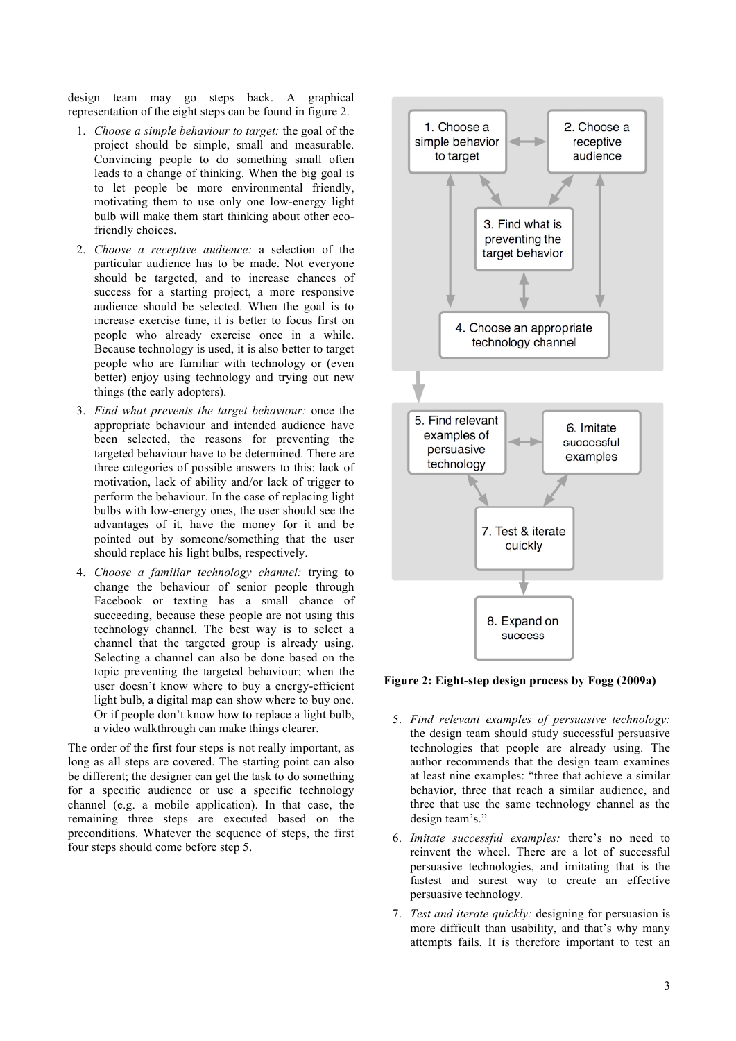design team may go steps back. A graphical representation of the eight steps can be found in figure 2.

- 1. *Choose a simple behaviour to target:* the goal of the project should be simple, small and measurable. Convincing people to do something small often leads to a change of thinking. When the big goal is to let people be more environmental friendly, motivating them to use only one low-energy light bulb will make them start thinking about other ecofriendly choices.
- 2. *Choose a receptive audience:* a selection of the particular audience has to be made. Not everyone should be targeted, and to increase chances of success for a starting project, a more responsive audience should be selected. When the goal is to increase exercise time, it is better to focus first on people who already exercise once in a while. Because technology is used, it is also better to target people who are familiar with technology or (even better) enjoy using technology and trying out new things (the early adopters).
- 3. *Find what prevents the target behaviour:* once the appropriate behaviour and intended audience have been selected, the reasons for preventing the targeted behaviour have to be determined. There are three categories of possible answers to this: lack of motivation, lack of ability and/or lack of trigger to perform the behaviour. In the case of replacing light bulbs with low-energy ones, the user should see the advantages of it, have the money for it and be pointed out by someone/something that the user should replace his light bulbs, respectively.
- 4. *Choose a familiar technology channel:* trying to change the behaviour of senior people through Facebook or texting has a small chance of succeeding, because these people are not using this technology channel. The best way is to select a channel that the targeted group is already using. Selecting a channel can also be done based on the topic preventing the targeted behaviour; when the user doesn't know where to buy a energy-efficient light bulb, a digital map can show where to buy one. Or if people don't know how to replace a light bulb, a video walkthrough can make things clearer.

The order of the first four steps is not really important, as long as all steps are covered. The starting point can also be different; the designer can get the task to do something for a specific audience or use a specific technology channel (e.g. a mobile application). In that case, the remaining three steps are executed based on the preconditions. Whatever the sequence of steps, the first four steps should come before step 5.



**Figure 2: Eight-step design process by Fogg (2009a)**

- 5. *Find relevant examples of persuasive technology:* the design team should study successful persuasive technologies that people are already using. The author recommends that the design team examines at least nine examples: "three that achieve a similar behavior, three that reach a similar audience, and three that use the same technology channel as the design team's."
- 6. *Imitate successful examples:* there's no need to reinvent the wheel. There are a lot of successful persuasive technologies, and imitating that is the fastest and surest way to create an effective persuasive technology.
- 7. *Test and iterate quickly:* designing for persuasion is more difficult than usability, and that's why many attempts fails. It is therefore important to test an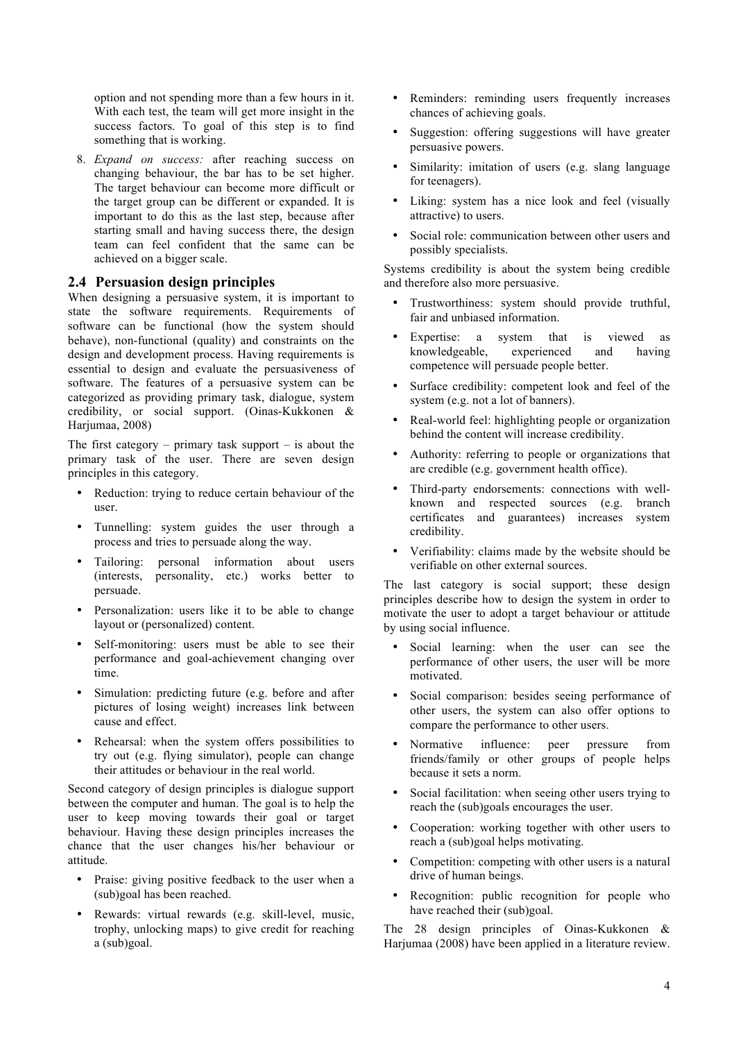option and not spending more than a few hours in it. With each test, the team will get more insight in the success factors. To goal of this step is to find something that is working.

8. *Expand on success:* after reaching success on changing behaviour, the bar has to be set higher. The target behaviour can become more difficult or the target group can be different or expanded. It is important to do this as the last step, because after starting small and having success there, the design team can feel confident that the same can be achieved on a bigger scale.

#### **2.4 Persuasion design principles**

When designing a persuasive system, it is important to state the software requirements. Requirements of software can be functional (how the system should behave), non-functional (quality) and constraints on the design and development process. Having requirements is essential to design and evaluate the persuasiveness of software. The features of a persuasive system can be categorized as providing primary task, dialogue, system credibility, or social support. (Oinas-Kukkonen & Harjumaa, 2008)

The first category – primary task support – is about the primary task of the user. There are seven design principles in this category.

- Reduction: trying to reduce certain behaviour of the user.
- Tunnelling: system guides the user through a process and tries to persuade along the way.
- Tailoring: personal information about users (interests, personality, etc.) works better to persuade.
- Personalization: users like it to be able to change layout or (personalized) content.
- Self-monitoring: users must be able to see their performance and goal-achievement changing over time.
- Simulation: predicting future (e.g. before and after pictures of losing weight) increases link between cause and effect.
- Rehearsal: when the system offers possibilities to try out (e.g. flying simulator), people can change their attitudes or behaviour in the real world.

Second category of design principles is dialogue support between the computer and human. The goal is to help the user to keep moving towards their goal or target behaviour. Having these design principles increases the chance that the user changes his/her behaviour or attitude.

- Praise: giving positive feedback to the user when a (sub)goal has been reached.
- Rewards: virtual rewards (e.g. skill-level, music, trophy, unlocking maps) to give credit for reaching a (sub)goal.
- Reminders: reminding users frequently increases chances of achieving goals.
- Suggestion: offering suggestions will have greater persuasive powers.
- Similarity: imitation of users (e.g. slang language for teenagers).
- Liking: system has a nice look and feel (visually attractive) to users.
- Social role: communication between other users and possibly specialists.

Systems credibility is about the system being credible and therefore also more persuasive.

- Trustworthiness: system should provide truthful, fair and unbiased information.
- Expertise: a system that is viewed as knowledgeable, experienced and having competence will persuade people better.
- Surface credibility: competent look and feel of the system (e.g. not a lot of banners).
- Real-world feel: highlighting people or organization behind the content will increase credibility.
- Authority: referring to people or organizations that are credible (e.g. government health office).
- Third-party endorsements: connections with wellknown and respected sources (e.g. branch certificates and guarantees) increases system credibility.
- Verifiability: claims made by the website should be verifiable on other external sources.

The last category is social support; these design principles describe how to design the system in order to motivate the user to adopt a target behaviour or attitude by using social influence.

- Social learning: when the user can see the performance of other users, the user will be more motivated.
- Social comparison: besides seeing performance of other users, the system can also offer options to compare the performance to other users.
- Normative influence: peer pressure from friends/family or other groups of people helps because it sets a norm.
- Social facilitation: when seeing other users trying to reach the (sub)goals encourages the user.
- Cooperation: working together with other users to reach a (sub)goal helps motivating.
- Competition: competing with other users is a natural drive of human beings.
- Recognition: public recognition for people who have reached their (sub)goal.

The 28 design principles of Oinas-Kukkonen & Harjumaa (2008) have been applied in a literature review.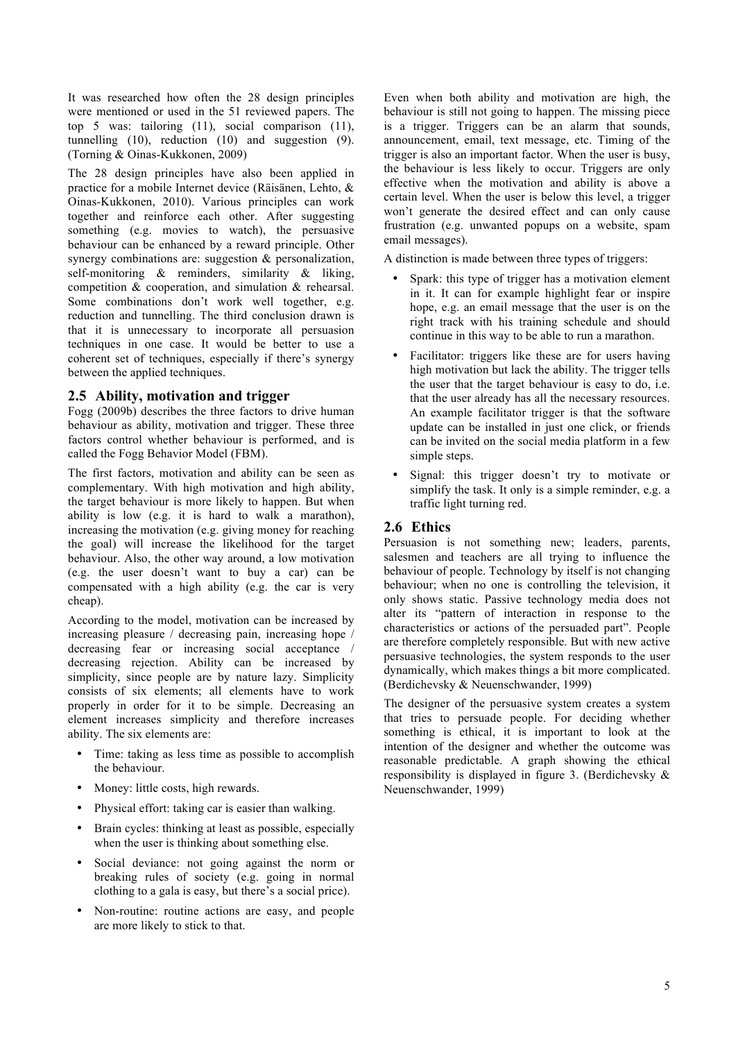It was researched how often the 28 design principles were mentioned or used in the 51 reviewed papers. The top 5 was: tailoring (11), social comparison (11), tunnelling (10), reduction (10) and suggestion (9). (Torning & Oinas-Kukkonen, 2009)

The 28 design principles have also been applied in practice for a mobile Internet device (Räisänen, Lehto, & Oinas-Kukkonen, 2010). Various principles can work together and reinforce each other. After suggesting something (e.g. movies to watch), the persuasive behaviour can be enhanced by a reward principle. Other synergy combinations are: suggestion & personalization, self-monitoring & reminders, similarity & liking, competition & cooperation, and simulation & rehearsal. Some combinations don't work well together, e.g. reduction and tunnelling. The third conclusion drawn is that it is unnecessary to incorporate all persuasion techniques in one case. It would be better to use a coherent set of techniques, especially if there's synergy between the applied techniques.

#### **2.5 Ability, motivation and trigger**

Fogg (2009b) describes the three factors to drive human behaviour as ability, motivation and trigger. These three factors control whether behaviour is performed, and is called the Fogg Behavior Model (FBM).

The first factors, motivation and ability can be seen as complementary. With high motivation and high ability, the target behaviour is more likely to happen. But when ability is low (e.g. it is hard to walk a marathon), increasing the motivation (e.g. giving money for reaching the goal) will increase the likelihood for the target behaviour. Also, the other way around, a low motivation (e.g. the user doesn't want to buy a car) can be compensated with a high ability (e.g. the car is very cheap).

According to the model, motivation can be increased by increasing pleasure / decreasing pain, increasing hope / decreasing fear or increasing social acceptance / decreasing rejection. Ability can be increased by simplicity, since people are by nature lazy. Simplicity consists of six elements; all elements have to work properly in order for it to be simple. Decreasing an element increases simplicity and therefore increases ability. The six elements are:

- Time: taking as less time as possible to accomplish the behaviour.
- Money: little costs, high rewards.
- Physical effort: taking car is easier than walking.
- Brain cycles: thinking at least as possible, especially when the user is thinking about something else.
- Social deviance: not going against the norm or breaking rules of society (e.g. going in normal clothing to a gala is easy, but there's a social price).
- Non-routine: routine actions are easy, and people are more likely to stick to that.

Even when both ability and motivation are high, the behaviour is still not going to happen. The missing piece is a trigger. Triggers can be an alarm that sounds, announcement, email, text message, etc. Timing of the trigger is also an important factor. When the user is busy, the behaviour is less likely to occur. Triggers are only effective when the motivation and ability is above a certain level. When the user is below this level, a trigger won't generate the desired effect and can only cause frustration (e.g. unwanted popups on a website, spam email messages).

A distinction is made between three types of triggers:

- Spark: this type of trigger has a motivation element in it. It can for example highlight fear or inspire hope, e.g. an email message that the user is on the right track with his training schedule and should continue in this way to be able to run a marathon.
- Facilitator: triggers like these are for users having high motivation but lack the ability. The trigger tells the user that the target behaviour is easy to do, i.e. that the user already has all the necessary resources. An example facilitator trigger is that the software update can be installed in just one click, or friends can be invited on the social media platform in a few simple steps.
- Signal: this trigger doesn't try to motivate or simplify the task. It only is a simple reminder, e.g. a traffic light turning red.

## **2.6 Ethics**

Persuasion is not something new; leaders, parents, salesmen and teachers are all trying to influence the behaviour of people. Technology by itself is not changing behaviour; when no one is controlling the television, it only shows static. Passive technology media does not alter its "pattern of interaction in response to the characteristics or actions of the persuaded part". People are therefore completely responsible. But with new active persuasive technologies, the system responds to the user dynamically, which makes things a bit more complicated. (Berdichevsky & Neuenschwander, 1999)

The designer of the persuasive system creates a system that tries to persuade people. For deciding whether something is ethical, it is important to look at the intention of the designer and whether the outcome was reasonable predictable. A graph showing the ethical responsibility is displayed in figure 3. (Berdichevsky & Neuenschwander, 1999)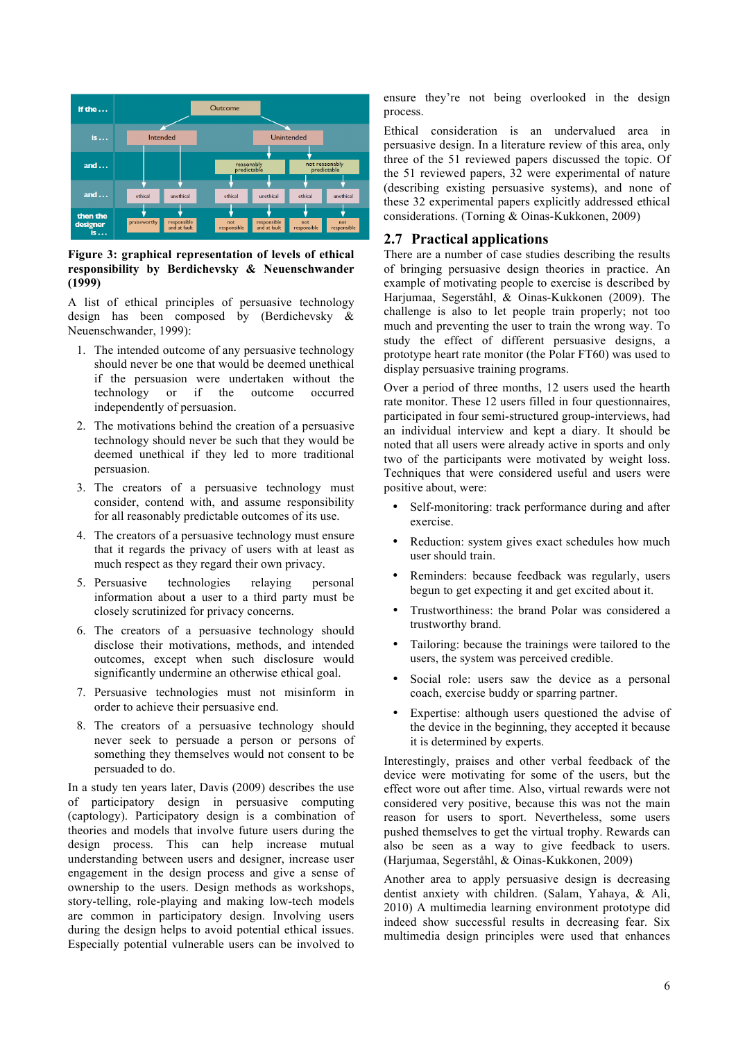

**Figure 3: graphical representation of levels of ethical responsibility by Berdichevsky & Neuenschwander (1999)**

A list of ethical principles of persuasive technology design has been composed by (Berdichevsky & Neuenschwander, 1999):

- 1. The intended outcome of any persuasive technology should never be one that would be deemed unethical if the persuasion were undertaken without the technology or if the outcome occurred independently of persuasion.
- 2. The motivations behind the creation of a persuasive technology should never be such that they would be deemed unethical if they led to more traditional persuasion.
- 3. The creators of a persuasive technology must consider, contend with, and assume responsibility for all reasonably predictable outcomes of its use.
- 4. The creators of a persuasive technology must ensure that it regards the privacy of users with at least as much respect as they regard their own privacy.
- 5. Persuasive technologies relaying personal information about a user to a third party must be closely scrutinized for privacy concerns.
- 6. The creators of a persuasive technology should disclose their motivations, methods, and intended outcomes, except when such disclosure would significantly undermine an otherwise ethical goal.
- 7. Persuasive technologies must not misinform in order to achieve their persuasive end.
- 8. The creators of a persuasive technology should never seek to persuade a person or persons of something they themselves would not consent to be persuaded to do.

In a study ten years later, Davis (2009) describes the use of participatory design in persuasive computing (captology). Participatory design is a combination of theories and models that involve future users during the design process. This can help increase mutual understanding between users and designer, increase user engagement in the design process and give a sense of ownership to the users. Design methods as workshops, story-telling, role-playing and making low-tech models are common in participatory design. Involving users during the design helps to avoid potential ethical issues. Especially potential vulnerable users can be involved to

ensure they're not being overlooked in the design process.

Ethical consideration is an undervalued area in persuasive design. In a literature review of this area, only three of the 51 reviewed papers discussed the topic. Of the 51 reviewed papers, 32 were experimental of nature (describing existing persuasive systems), and none of these 32 experimental papers explicitly addressed ethical considerations. (Torning & Oinas-Kukkonen, 2009)

## **2.7 Practical applications**

There are a number of case studies describing the results of bringing persuasive design theories in practice. An example of motivating people to exercise is described by Harjumaa, Segerståhl, & Oinas-Kukkonen (2009). The challenge is also to let people train properly; not too much and preventing the user to train the wrong way. To study the effect of different persuasive designs, a prototype heart rate monitor (the Polar FT60) was used to display persuasive training programs.

Over a period of three months, 12 users used the hearth rate monitor. These 12 users filled in four questionnaires, participated in four semi-structured group-interviews, had an individual interview and kept a diary. It should be noted that all users were already active in sports and only two of the participants were motivated by weight loss. Techniques that were considered useful and users were positive about, were:

- Self-monitoring: track performance during and after exercise.
- Reduction: system gives exact schedules how much user should train.
- Reminders: because feedback was regularly, users begun to get expecting it and get excited about it.
- Trustworthiness: the brand Polar was considered a trustworthy brand.
- Tailoring: because the trainings were tailored to the users, the system was perceived credible.
- Social role: users saw the device as a personal coach, exercise buddy or sparring partner.
- Expertise: although users questioned the advise of the device in the beginning, they accepted it because it is determined by experts.

Interestingly, praises and other verbal feedback of the device were motivating for some of the users, but the effect wore out after time. Also, virtual rewards were not considered very positive, because this was not the main reason for users to sport. Nevertheless, some users pushed themselves to get the virtual trophy. Rewards can also be seen as a way to give feedback to users. (Harjumaa, Segerståhl, & Oinas-Kukkonen, 2009)

Another area to apply persuasive design is decreasing dentist anxiety with children. (Salam, Yahaya, & Ali, 2010) A multimedia learning environment prototype did indeed show successful results in decreasing fear. Six multimedia design principles were used that enhances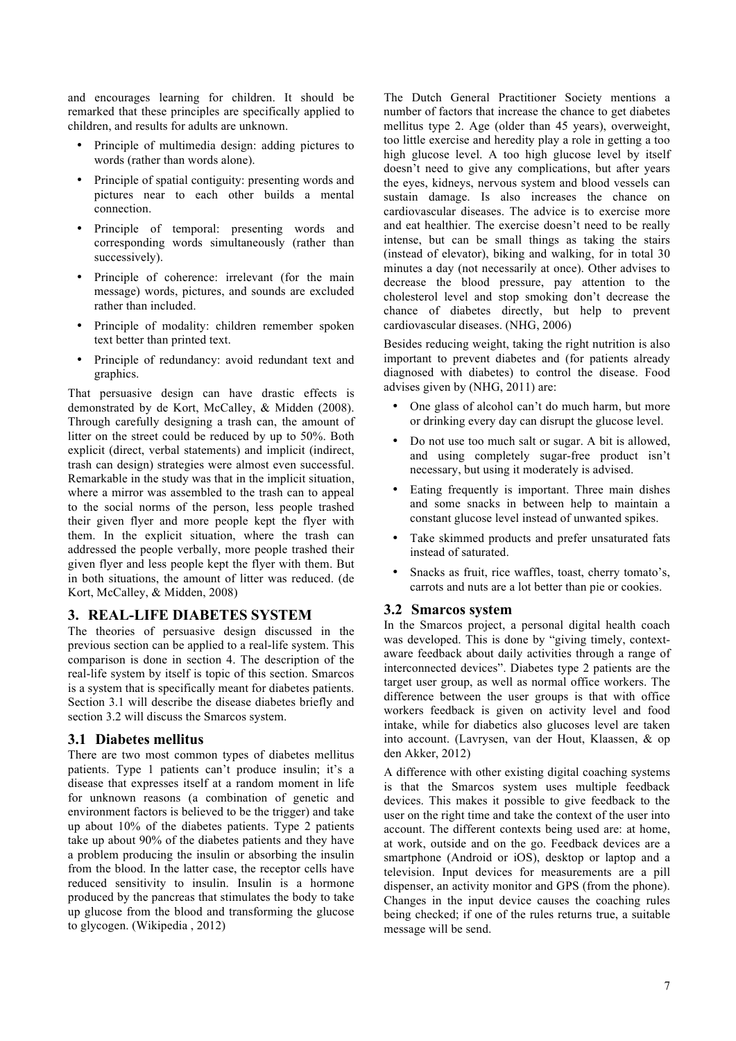and encourages learning for children. It should be remarked that these principles are specifically applied to children, and results for adults are unknown.

- Principle of multimedia design: adding pictures to words (rather than words alone).
- Principle of spatial contiguity: presenting words and pictures near to each other builds a mental connection.
- Principle of temporal: presenting words and corresponding words simultaneously (rather than successively).
- Principle of coherence: irrelevant (for the main message) words, pictures, and sounds are excluded rather than included.
- Principle of modality: children remember spoken text better than printed text.
- Principle of redundancy: avoid redundant text and graphics.

That persuasive design can have drastic effects is demonstrated by de Kort, McCalley, & Midden (2008). Through carefully designing a trash can, the amount of litter on the street could be reduced by up to 50%. Both explicit (direct, verbal statements) and implicit (indirect, trash can design) strategies were almost even successful. Remarkable in the study was that in the implicit situation, where a mirror was assembled to the trash can to appeal to the social norms of the person, less people trashed their given flyer and more people kept the flyer with them. In the explicit situation, where the trash can addressed the people verbally, more people trashed their given flyer and less people kept the flyer with them. But in both situations, the amount of litter was reduced. (de Kort, McCalley, & Midden, 2008)

## **3. REAL-LIFE DIABETES SYSTEM**

The theories of persuasive design discussed in the previous section can be applied to a real-life system. This comparison is done in section 4. The description of the real-life system by itself is topic of this section. Smarcos is a system that is specifically meant for diabetes patients. Section 3.1 will describe the disease diabetes briefly and section 3.2 will discuss the Smarcos system.

#### **3.1 Diabetes mellitus**

There are two most common types of diabetes mellitus patients. Type 1 patients can't produce insulin; it's a disease that expresses itself at a random moment in life for unknown reasons (a combination of genetic and environment factors is believed to be the trigger) and take up about 10% of the diabetes patients. Type 2 patients take up about 90% of the diabetes patients and they have a problem producing the insulin or absorbing the insulin from the blood. In the latter case, the receptor cells have reduced sensitivity to insulin. Insulin is a hormone produced by the pancreas that stimulates the body to take up glucose from the blood and transforming the glucose to glycogen. (Wikipedia , 2012)

The Dutch General Practitioner Society mentions a number of factors that increase the chance to get diabetes mellitus type 2. Age (older than 45 years), overweight, too little exercise and heredity play a role in getting a too high glucose level. A too high glucose level by itself doesn't need to give any complications, but after years the eyes, kidneys, nervous system and blood vessels can sustain damage. Is also increases the chance on cardiovascular diseases. The advice is to exercise more and eat healthier. The exercise doesn't need to be really intense, but can be small things as taking the stairs (instead of elevator), biking and walking, for in total 30 minutes a day (not necessarily at once). Other advises to decrease the blood pressure, pay attention to the cholesterol level and stop smoking don't decrease the chance of diabetes directly, but help to prevent cardiovascular diseases. (NHG, 2006)

Besides reducing weight, taking the right nutrition is also important to prevent diabetes and (for patients already diagnosed with diabetes) to control the disease. Food advises given by (NHG, 2011) are:

- One glass of alcohol can't do much harm, but more or drinking every day can disrupt the glucose level.
- Do not use too much salt or sugar. A bit is allowed, and using completely sugar-free product isn't necessary, but using it moderately is advised.
- Eating frequently is important. Three main dishes and some snacks in between help to maintain a constant glucose level instead of unwanted spikes.
- Take skimmed products and prefer unsaturated fats instead of saturated.
- Snacks as fruit, rice waffles, toast, cherry tomato's, carrots and nuts are a lot better than pie or cookies.

#### **3.2 Smarcos system**

In the Smarcos project, a personal digital health coach was developed. This is done by "giving timely, contextaware feedback about daily activities through a range of interconnected devices". Diabetes type 2 patients are the target user group, as well as normal office workers. The difference between the user groups is that with office workers feedback is given on activity level and food intake, while for diabetics also glucoses level are taken into account. (Lavrysen, van der Hout, Klaassen, & op den Akker, 2012)

A difference with other existing digital coaching systems is that the Smarcos system uses multiple feedback devices. This makes it possible to give feedback to the user on the right time and take the context of the user into account. The different contexts being used are: at home, at work, outside and on the go. Feedback devices are a smartphone (Android or iOS), desktop or laptop and a television. Input devices for measurements are a pill dispenser, an activity monitor and GPS (from the phone). Changes in the input device causes the coaching rules being checked; if one of the rules returns true, a suitable message will be send.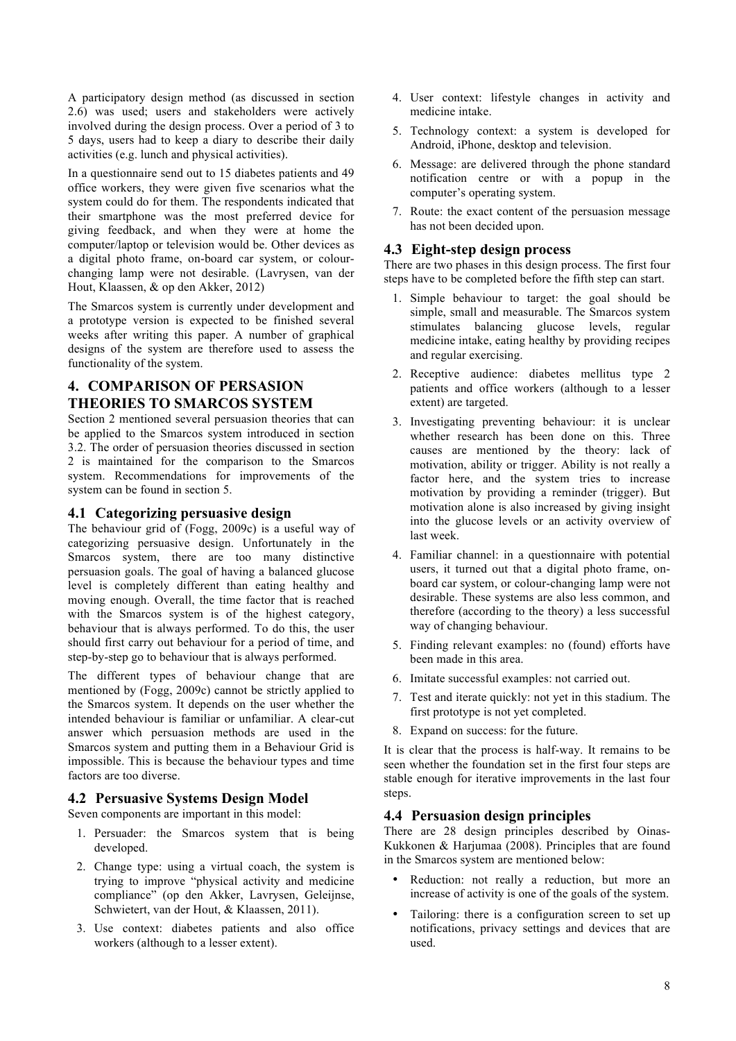A participatory design method (as discussed in section 2.6) was used; users and stakeholders were actively involved during the design process. Over a period of 3 to 5 days, users had to keep a diary to describe their daily activities (e.g. lunch and physical activities).

In a questionnaire send out to 15 diabetes patients and 49 office workers, they were given five scenarios what the system could do for them. The respondents indicated that their smartphone was the most preferred device for giving feedback, and when they were at home the computer/laptop or television would be. Other devices as a digital photo frame, on-board car system, or colourchanging lamp were not desirable. (Lavrysen, van der Hout, Klaassen, & op den Akker, 2012)

The Smarcos system is currently under development and a prototype version is expected to be finished several weeks after writing this paper. A number of graphical designs of the system are therefore used to assess the functionality of the system.

## **4. COMPARISON OF PERSASION THEORIES TO SMARCOS SYSTEM**

Section 2 mentioned several persuasion theories that can be applied to the Smarcos system introduced in section 3.2. The order of persuasion theories discussed in section 2 is maintained for the comparison to the Smarcos system. Recommendations for improvements of the system can be found in section 5.

## **4.1 Categorizing persuasive design**

The behaviour grid of (Fogg, 2009c) is a useful way of categorizing persuasive design. Unfortunately in the Smarcos system, there are too many distinctive persuasion goals. The goal of having a balanced glucose level is completely different than eating healthy and moving enough. Overall, the time factor that is reached with the Smarcos system is of the highest category, behaviour that is always performed. To do this, the user should first carry out behaviour for a period of time, and step-by-step go to behaviour that is always performed.

The different types of behaviour change that are mentioned by (Fogg, 2009c) cannot be strictly applied to the Smarcos system. It depends on the user whether the intended behaviour is familiar or unfamiliar. A clear-cut answer which persuasion methods are used in the Smarcos system and putting them in a Behaviour Grid is impossible. This is because the behaviour types and time factors are too diverse.

## **4.2 Persuasive Systems Design Model**

Seven components are important in this model:

- 1. Persuader: the Smarcos system that is being developed.
- 2. Change type: using a virtual coach, the system is trying to improve "physical activity and medicine compliance" (op den Akker, Lavrysen, Geleijnse, Schwietert, van der Hout, & Klaassen, 2011).
- 3. Use context: diabetes patients and also office workers (although to a lesser extent).
- 4. User context: lifestyle changes in activity and medicine intake.
- 5. Technology context: a system is developed for Android, iPhone, desktop and television.
- 6. Message: are delivered through the phone standard notification centre or with a popup in the computer's operating system.
- 7. Route: the exact content of the persuasion message has not been decided upon.

## **4.3 Eight-step design process**

There are two phases in this design process. The first four steps have to be completed before the fifth step can start.

- 1. Simple behaviour to target: the goal should be simple, small and measurable. The Smarcos system stimulates balancing glucose levels, regular medicine intake, eating healthy by providing recipes and regular exercising.
- 2. Receptive audience: diabetes mellitus type 2 patients and office workers (although to a lesser extent) are targeted.
- 3. Investigating preventing behaviour: it is unclear whether research has been done on this. Three causes are mentioned by the theory: lack of motivation, ability or trigger. Ability is not really a factor here, and the system tries to increase motivation by providing a reminder (trigger). But motivation alone is also increased by giving insight into the glucose levels or an activity overview of last week.
- 4. Familiar channel: in a questionnaire with potential users, it turned out that a digital photo frame, onboard car system, or colour-changing lamp were not desirable. These systems are also less common, and therefore (according to the theory) a less successful way of changing behaviour.
- 5. Finding relevant examples: no (found) efforts have been made in this area.
- 6. Imitate successful examples: not carried out.
- 7. Test and iterate quickly: not yet in this stadium. The first prototype is not yet completed.
- 8. Expand on success: for the future.

It is clear that the process is half-way. It remains to be seen whether the foundation set in the first four steps are stable enough for iterative improvements in the last four steps.

## **4.4 Persuasion design principles**

There are 28 design principles described by Oinas-Kukkonen & Harjumaa (2008). Principles that are found in the Smarcos system are mentioned below:

- Reduction: not really a reduction, but more an increase of activity is one of the goals of the system.
- Tailoring: there is a configuration screen to set up notifications, privacy settings and devices that are used.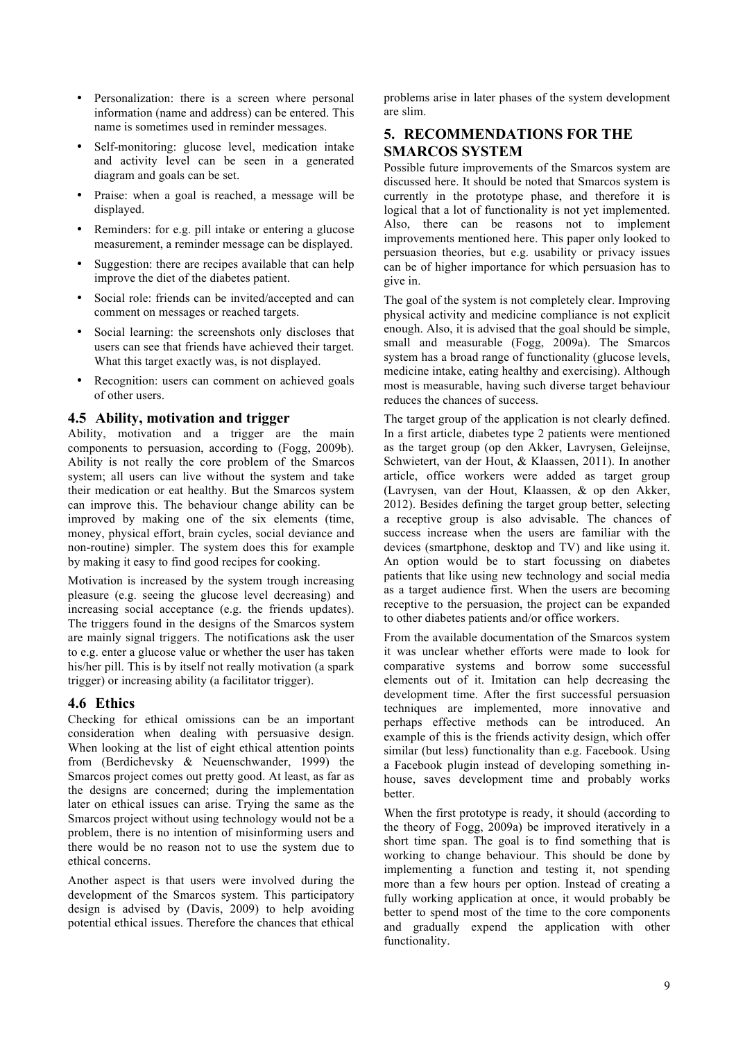- Personalization: there is a screen where personal information (name and address) can be entered. This name is sometimes used in reminder messages.
- Self-monitoring: glucose level, medication intake and activity level can be seen in a generated diagram and goals can be set.
- Praise: when a goal is reached, a message will be displayed.
- Reminders: for e.g. pill intake or entering a glucose measurement, a reminder message can be displayed.
- Suggestion: there are recipes available that can help improve the diet of the diabetes patient.
- Social role: friends can be invited/accepted and can comment on messages or reached targets.
- Social learning: the screenshots only discloses that users can see that friends have achieved their target. What this target exactly was, is not displayed.
- Recognition: users can comment on achieved goals of other users.

#### **4.5 Ability, motivation and trigger**

Ability, motivation and a trigger are the main components to persuasion, according to (Fogg, 2009b). Ability is not really the core problem of the Smarcos system; all users can live without the system and take their medication or eat healthy. But the Smarcos system can improve this. The behaviour change ability can be improved by making one of the six elements (time, money, physical effort, brain cycles, social deviance and non-routine) simpler. The system does this for example by making it easy to find good recipes for cooking.

Motivation is increased by the system trough increasing pleasure (e.g. seeing the glucose level decreasing) and increasing social acceptance (e.g. the friends updates). The triggers found in the designs of the Smarcos system are mainly signal triggers. The notifications ask the user to e.g. enter a glucose value or whether the user has taken his/her pill. This is by itself not really motivation (a spark trigger) or increasing ability (a facilitator trigger).

## **4.6 Ethics**

Checking for ethical omissions can be an important consideration when dealing with persuasive design. When looking at the list of eight ethical attention points from (Berdichevsky & Neuenschwander, 1999) the Smarcos project comes out pretty good. At least, as far as the designs are concerned; during the implementation later on ethical issues can arise. Trying the same as the Smarcos project without using technology would not be a problem, there is no intention of misinforming users and there would be no reason not to use the system due to ethical concerns.

Another aspect is that users were involved during the development of the Smarcos system. This participatory design is advised by (Davis, 2009) to help avoiding potential ethical issues. Therefore the chances that ethical problems arise in later phases of the system development are slim.

## **5. RECOMMENDATIONS FOR THE SMARCOS SYSTEM**

Possible future improvements of the Smarcos system are discussed here. It should be noted that Smarcos system is currently in the prototype phase, and therefore it is logical that a lot of functionality is not yet implemented. Also, there can be reasons not to implement improvements mentioned here. This paper only looked to persuasion theories, but e.g. usability or privacy issues can be of higher importance for which persuasion has to give in.

The goal of the system is not completely clear. Improving physical activity and medicine compliance is not explicit enough. Also, it is advised that the goal should be simple, small and measurable (Fogg, 2009a). The Smarcos system has a broad range of functionality (glucose levels, medicine intake, eating healthy and exercising). Although most is measurable, having such diverse target behaviour reduces the chances of success.

The target group of the application is not clearly defined. In a first article, diabetes type 2 patients were mentioned as the target group (op den Akker, Lavrysen, Geleijnse, Schwietert, van der Hout, & Klaassen, 2011). In another article, office workers were added as target group (Lavrysen, van der Hout, Klaassen, & op den Akker, 2012). Besides defining the target group better, selecting a receptive group is also advisable. The chances of success increase when the users are familiar with the devices (smartphone, desktop and TV) and like using it. An option would be to start focussing on diabetes patients that like using new technology and social media as a target audience first. When the users are becoming receptive to the persuasion, the project can be expanded to other diabetes patients and/or office workers.

From the available documentation of the Smarcos system it was unclear whether efforts were made to look for comparative systems and borrow some successful elements out of it. Imitation can help decreasing the development time. After the first successful persuasion techniques are implemented, more innovative and perhaps effective methods can be introduced. An example of this is the friends activity design, which offer similar (but less) functionality than e.g. Facebook. Using a Facebook plugin instead of developing something inhouse, saves development time and probably works **better** 

When the first prototype is ready, it should (according to the theory of Fogg, 2009a) be improved iteratively in a short time span. The goal is to find something that is working to change behaviour. This should be done by implementing a function and testing it, not spending more than a few hours per option. Instead of creating a fully working application at once, it would probably be better to spend most of the time to the core components and gradually expend the application with other functionality.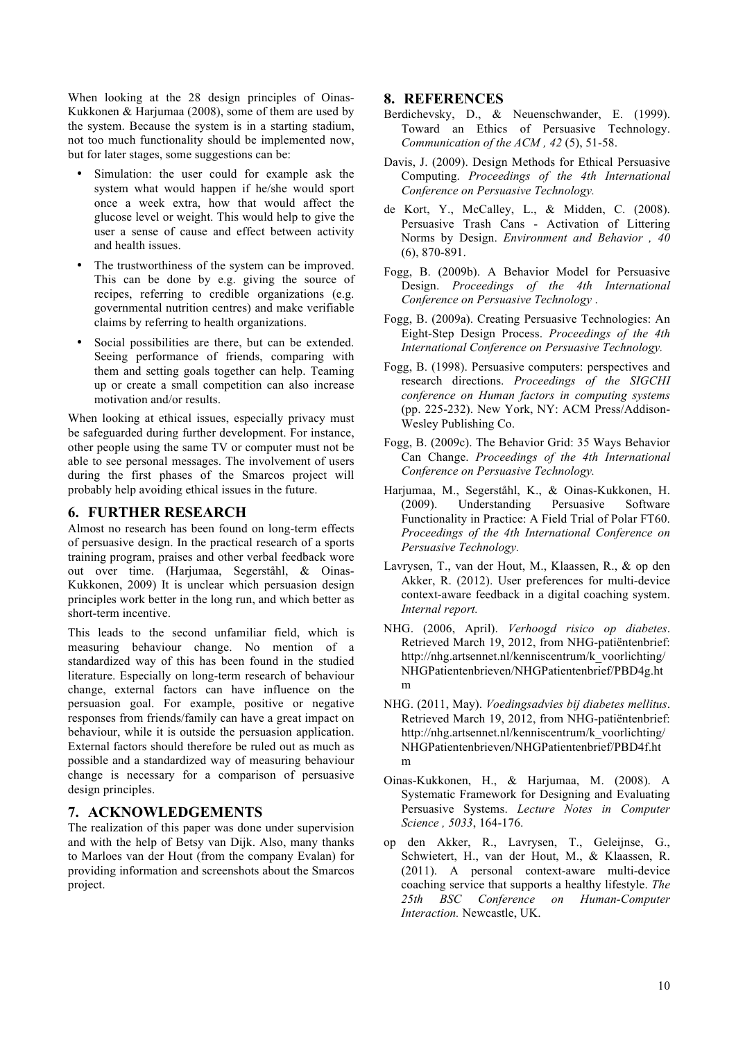When looking at the 28 design principles of Oinas-Kukkonen & Harjumaa (2008), some of them are used by the system. Because the system is in a starting stadium, not too much functionality should be implemented now, but for later stages, some suggestions can be:

- Simulation: the user could for example ask the system what would happen if he/she would sport once a week extra, how that would affect the glucose level or weight. This would help to give the user a sense of cause and effect between activity and health issues.
- The trustworthiness of the system can be improved. This can be done by e.g. giving the source of recipes, referring to credible organizations (e.g. governmental nutrition centres) and make verifiable claims by referring to health organizations.
- Social possibilities are there, but can be extended. Seeing performance of friends, comparing with them and setting goals together can help. Teaming up or create a small competition can also increase motivation and/or results.

When looking at ethical issues, especially privacy must be safeguarded during further development. For instance, other people using the same TV or computer must not be able to see personal messages. The involvement of users during the first phases of the Smarcos project will probably help avoiding ethical issues in the future.

#### **6. FURTHER RESEARCH**

Almost no research has been found on long-term effects of persuasive design. In the practical research of a sports training program, praises and other verbal feedback wore out over time. (Harjumaa, Segerståhl, & Oinas-Kukkonen, 2009) It is unclear which persuasion design principles work better in the long run, and which better as short-term incentive.

This leads to the second unfamiliar field, which is measuring behaviour change. No mention of a standardized way of this has been found in the studied literature. Especially on long-term research of behaviour change, external factors can have influence on the persuasion goal. For example, positive or negative responses from friends/family can have a great impact on behaviour, while it is outside the persuasion application. External factors should therefore be ruled out as much as possible and a standardized way of measuring behaviour change is necessary for a comparison of persuasive design principles.

## **7. ACKNOWLEDGEMENTS**

The realization of this paper was done under supervision and with the help of Betsy van Dijk. Also, many thanks to Marloes van der Hout (from the company Evalan) for providing information and screenshots about the Smarcos project.

#### **8. REFERENCES**

- Berdichevsky, D., & Neuenschwander, E. (1999). Toward an Ethics of Persuasive Technology. *Communication of the ACM , 42* (5), 51-58.
- Davis, J. (2009). Design Methods for Ethical Persuasive Computing. *Proceedings of the 4th International Conference on Persuasive Technology.*
- de Kort, Y., McCalley, L., & Midden, C. (2008). Persuasive Trash Cans - Activation of Littering Norms by Design. *Environment and Behavior , 40* (6), 870-891.
- Fogg, B. (2009b). A Behavior Model for Persuasive Design. *Proceedings of the 4th International Conference on Persuasive Technology* .
- Fogg, B. (2009a). Creating Persuasive Technologies: An Eight-Step Design Process. *Proceedings of the 4th International Conference on Persuasive Technology.*
- Fogg, B. (1998). Persuasive computers: perspectives and research directions. *Proceedings of the SIGCHI conference on Human factors in computing systems* (pp. 225-232). New York, NY: ACM Press/Addison-Wesley Publishing Co.
- Fogg, B. (2009c). The Behavior Grid: 35 Ways Behavior Can Change. *Proceedings of the 4th International Conference on Persuasive Technology.*
- Harjumaa, M., Segerståhl, K., & Oinas-Kukkonen, H. (2009). Understanding Persuasive Software Functionality in Practice: A Field Trial of Polar FT60. *Proceedings of the 4th International Conference on Persuasive Technology.*
- Lavrysen, T., van der Hout, M., Klaassen, R., & op den Akker, R. (2012). User preferences for multi-device context-aware feedback in a digital coaching system. *Internal report.*
- NHG. (2006, April). *Verhoogd risico op diabetes*. Retrieved March 19, 2012, from NHG-patiëntenbrief: http://nhg.artsennet.nl/kenniscentrum/k\_voorlichting/ NHGPatientenbrieven/NHGPatientenbrief/PBD4g.ht m
- NHG. (2011, May). *Voedingsadvies bij diabetes mellitus*. Retrieved March 19, 2012, from NHG-patiëntenbrief: http://nhg.artsennet.nl/kenniscentrum/k\_voorlichting/ NHGPatientenbrieven/NHGPatientenbrief/PBD4f.ht m
- Oinas-Kukkonen, H., & Harjumaa, M. (2008). A Systematic Framework for Designing and Evaluating Persuasive Systems. *Lecture Notes in Computer Science , 5033*, 164-176.
- op den Akker, R., Lavrysen, T., Geleijnse, G., Schwietert, H., van der Hout, M., & Klaassen, R. (2011). A personal context-aware multi-device coaching service that supports a healthy lifestyle. *The 25th BSC Conference on Human-Computer Interaction.* Newcastle, UK.